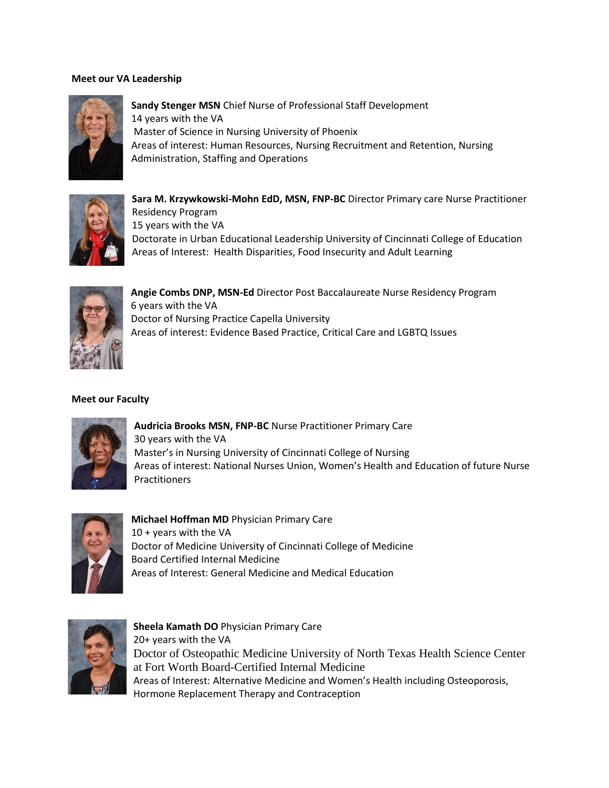## **Meet our VA Leadership**



**Sandy Stenger MSN** Chief Nurse of Professional Staff Development 14 years with the VA Master of Science in Nursing University of Phoenix Areas of interest: Human Resources, Nursing Recruitment and Retention, Nursing Administration, Staffing and Operations



**Sara M. Krzywkowski-Mohn EdD, MSN, FNP-BC** Director Primary care Nurse Practitioner Residency Program 15 years with the VA Doctorate in Urban Educational Leadership University of Cincinnati College of Education Areas of Interest: Health Disparities, Food Insecurity and Adult Learning



**Angie Combs DNP, MSN-Ed** Director Post Baccalaureate Nurse Residency Program 6 years with the VA Doctor of Nursing Practice Capella University Areas of interest: Evidence Based Practice, Critical Care and LGBTQ Issues

## **Meet our Faculty**



**Audricia Brooks MSN, FNP-BC** Nurse Practitioner Primary Care 30 years with the VA Master's in Nursing University of Cincinnati College of Nursing Areas of interest: National Nurses Union, Women's Health and Education of future Nurse Practitioners



**Michael Hoffman MD** Physician Primary Care 10 + years with the VA Doctor of Medicine University of Cincinnati College of Medicine Board Certified Internal Medicine Areas of Interest: General Medicine and Medical Education



**Sheela Kamath DO** Physician Primary Care 20+ years with the VA Doctor of Osteopathic Medicine University of North Texas Health Science Center at Fort Worth Board-Certified Internal Medicine Areas of Interest: Alternative Medicine and Women's Health including Osteoporosis, Hormone Replacement Therapy and Contraception